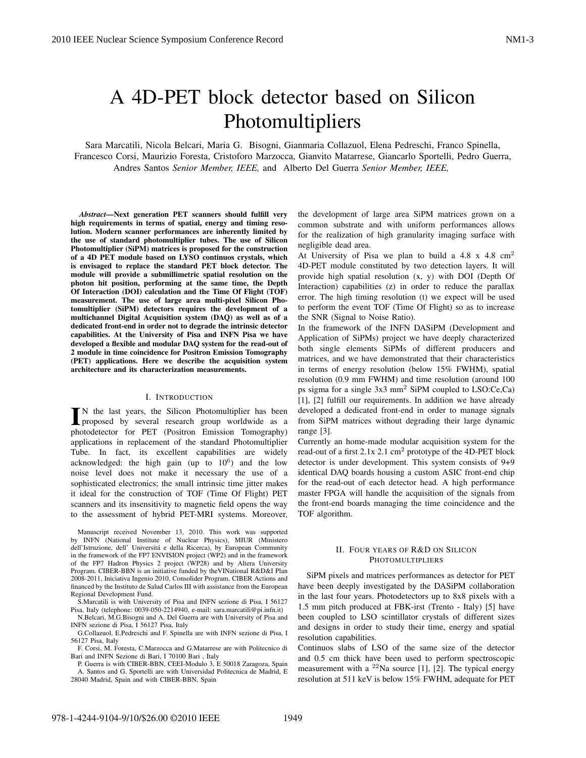# A 4D-PET block detector based on Silicon Photomultipliers

Sara Marcatili, Nicola Belcari, Maria G. Bisogni, Gianmaria Collazuol, Elena Pedreschi, Franco Spinella, Francesco Corsi, Maurizio Foresta, Cristoforo Marzocca, Gianvito Matarrese, Giancarlo Sportelli, Pedro Guerra, Andres Santos *Senior Member, IEEE,* and Alberto Del Guerra *Senior Member, IEEE,*

*Abstract*—Next generation PET scanners should fulfill very high requirements in terms of spatial, energy and timing resolution. Modern scanner performances are inherently limited by the use of standard photomultiplier tubes. The use of Silicon Photomultiplier (SiPM) matrices is proposed for the construction of a 4D PET module based on LYSO continuos crystals, which is envisaged to replace the standard PET block detector. The module will provide a submillimetric spatial resolution on the photon hit position, performing at the same time, the Depth Of Interaction (DOI) calculation and the Time Of Flight (TOF) measurement. The use of large area multi-pixel Silicon Photomultiplier (SiPM) detectors requires the development of a multichannel Digital Acquisition system (DAQ) as well as of a dedicated front-end in order not to degrade the intrinsic detector capabilities. At the University of Pisa and INFN Pisa we have developed a flexible and modular DAQ system for the read-out of 2 module in time coincidence for Positron Emission Tomography (PET) applications. Here we describe the acquisition system architecture and its characterization measurements.

# I. INTRODUCTION

 $\sum_{n=1}^{\infty}$  N the last years, the Silicon Photomultiplier has been<br>proposed by several research group worldwide as a proposed by several research group worldwide as a photodetector for PET (Positron Emission Tomography) applications in replacement of the standard Photomultiplier Tube. In fact, its excellent capabilities are widely acknowledged: the high gain (up to  $10^6$ ) and the low noise level does not make it necessary the use of a sophisticated electronics; the small intrinsic time jitter makes it ideal for the construction of TOF (Time Of Flight) PET scanners and its insensitivity to magnetic field opens the way to the assessment of hybrid PET-MRI systems. Moreover,

Manuscript received November 13, 2010. This work was supported by INFN (National Institute of Nuclear Physics), MIUR (Ministero dell'Istruzione, dell' Universitá e della Ricerca), by European Community in the framework of the FP7 ENVISION project (WP2) and in the framework of the FP7 Hadron Physics 2 project (WP28) and by Altera University Program. CIBER-BBN is an initiative funded by theVINational R&D&I Plan 2008-2011, Iniciativa Ingenio 2010, Consolider Program, CIBER Actions and financed by the Instituto de Salud Carlos III with assistance from the European Regional Development Fund.

S.Marcatili is with University of Pisa and INFN sezione di Pisa, I 56127 Pisa, Italy (telephone: 0039-050-2214940, e-mail: sara.marcatili@pi.infn.it) N.Belcari, M.G.Bisogni and A. Del Guerra are with University of Pisa and

INFN sezione di Pisa, I 56127 Pisa, Italy G.Collazuol, E.Pedreschi and F. Spinella are with INFN sezione di Pisa, I

56127 Pisa, Italy

- F. Corsi, M. Foresta, C.Marzocca and G.Matarrese are with Politecnico di Bari and INFN Sezione di Bari, I 70100 Bari , Italy
- P. Guerra is with CIBER-BBN, CEEI-Modulo 3, E 50018 Zaragoza, Spain A. Santos and G. Sportelli are with Universidad Politecnica de Madrid, E 28040 Madrid, Spain and with CIBER-BBN, Spain

the development of large area SiPM matrices grown on a common substrate and with uniform performances allows for the realization of high granularity imaging surface with negligible dead area.

At University of Pisa we plan to build a 4.8 x 4.8  $\text{cm}^2$ 4D-PET module constituted by two detection layers. It will provide high spatial resolution (x, y) with DOI (Depth Of Interaction) capabilities (z) in order to reduce the parallax error. The high timing resolution (t) we expect will be used to perform the event TOF (Time Of Flight) so as to increase the SNR (Signal to Noise Ratio).

In the framework of the INFN DASiPM (Development and Application of SiPMs) project we have deeply characterized both single elements SiPMs of different producers and matrices, and we have demonstrated that their characteristics in terms of energy resolution (below 15% FWHM), spatial resolution (0.9 mm FWHM) and time resolution (around 100 ps sigma for a single 3x3 mm<sup>2</sup> SiPM coupled to LSO:Ce,Ca) [1], [2] fulfill our requirements. In addition we have already developed a dedicated front-end in order to manage signals from SiPM matrices without degrading their large dynamic range [3].

Currently an home-made modular acquisition system for the read-out of a first  $2.1x$   $2.1 \text{ cm}^2$  prototype of the 4D-PET block detector is under development. This system consists of 9+9 identical DAQ boards housing a custom ASIC front-end chip for the read-out of each detector head. A high performance master FPGA will handle the acquisition of the signals from the front-end boards managing the time coincidence and the TOF algorithm.

# II. FOUR YEARS OF R&D ON SILICON PHOTOMULTIPLIERS

SiPM pixels and matrices performances as detector for PET have been deeply investigated by the DASiPM collaboration in the last four years. Photodetectors up to 8x8 pixels with a 1.5 mm pitch produced at FBK-irst (Trento - Italy) [5] have been coupled to LSO scintillator crystals of different sizes and designs in order to study their time, energy and spatial resolution capabilities.

Continuos slabs of LSO of the same size of the detector and 0.5 cm thick have been used to perform spectroscopic measurement with a  $^{22}$ Na source [1], [2]. The typical energy resolution at 511 keV is below 15% FWHM, adequate for PET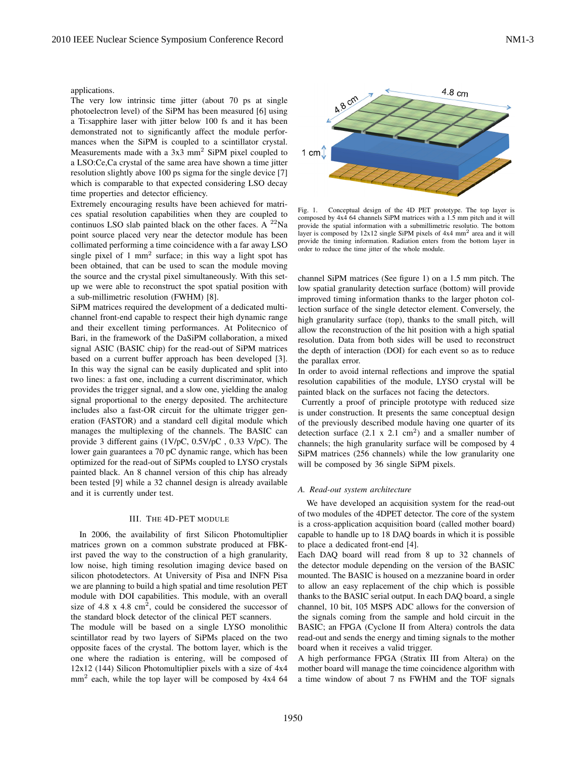applications.

The very low intrinsic time jitter (about 70 ps at single photoelectron level) of the SiPM has been measured [6] using a Ti:sapphire laser with jitter below 100 fs and it has been demonstrated not to significantly affect the module performances when the SiPM is coupled to a scintillator crystal. Measurements made with a 3x3 mm<sup>2</sup> SiPM pixel coupled to a LSO:Ce,Ca crystal of the same area have shown a time jitter resolution slightly above 100 ps sigma for the single device [7] which is comparable to that expected considering LSO decay time properties and detector efficiency.

Extremely encouraging results have been achieved for matrices spatial resolution capabilities when they are coupled to continuos LSO slab painted black on the other faces. A  $^{22}$ Na point source placed very near the detector module has been collimated performing a time coincidence with a far away LSO single pixel of 1  $mm<sup>2</sup>$  surface; in this way a light spot has been obtained, that can be used to scan the module moving the source and the crystal pixel simultaneously. With this setup we were able to reconstruct the spot spatial position with a sub-millimetric resolution (FWHM) [8].

SiPM matrices required the development of a dedicated multichannel front-end capable to respect their high dynamic range and their excellent timing performances. At Politecnico of Bari, in the framework of the DaSiPM collaboration, a mixed signal ASIC (BASIC chip) for the read-out of SiPM matrices based on a current buffer approach has been developed [3]. In this way the signal can be easily duplicated and split into two lines: a fast one, including a current discriminator, which provides the trigger signal, and a slow one, yielding the analog signal proportional to the energy deposited. The architecture includes also a fast-OR circuit for the ultimate trigger generation (FASTOR) and a standard cell digital module which manages the multiplexing of the channels. The BASIC can provide 3 different gains (1V/pC, 0.5V/pC , 0.33 V/pC). The lower gain guarantees a 70 pC dynamic range, which has been optimized for the read-out of SiPMs coupled to LYSO crystals painted black. An 8 channel version of this chip has already been tested [9] while a 32 channel design is already available and it is currently under test.

# III. THE 4D-PET MODULE

In 2006, the availability of first Silicon Photomultiplier matrices grown on a common substrate produced at FBKirst paved the way to the construction of a high granularity, low noise, high timing resolution imaging device based on silicon photodetectors. At University of Pisa and INFN Pisa we are planning to build a high spatial and time resolution PET module with DOI capabilities. This module, with an overall size of  $4.8 \times 4.8$  cm<sup>2</sup>, could be considered the successor of the standard block detector of the clinical PET scanners.

The module will be based on a single LYSO monolithic scintillator read by two layers of SiPMs placed on the two opposite faces of the crystal. The bottom layer, which is the one where the radiation is entering, will be composed of 12x12 (144) Silicon Photomultiplier pixels with a size of 4x4  $mm<sup>2</sup>$  each, while the top layer will be composed by 4x4 64



Fig. 1. Conceptual design of the 4D PET prototype. The top layer is composed by 4x4 64 channels SiPM matrices with a 1.5 mm pitch and it will provide the spatial information with a submillimetric resolutio. The bottom layer is composed by 12x12 single SiPM pixels of 4x4 mm<sup>2</sup> area and it will provide the timing information. Radiation enters from the bottom layer in order to reduce the time jitter of the whole module.

channel SiPM matrices (See figure 1) on a 1.5 mm pitch. The low spatial granularity detection surface (bottom) will provide improved timing information thanks to the larger photon collection surface of the single detector element. Conversely, the high granularity surface (top), thanks to the small pitch, will allow the reconstruction of the hit position with a high spatial resolution. Data from both sides will be used to reconstruct the depth of interaction (DOI) for each event so as to reduce the parallax error.

In order to avoid internal reflections and improve the spatial resolution capabilities of the module, LYSO crystal will be painted black on the surfaces not facing the detectors.

Currently a proof of principle prototype with reduced size is under construction. It presents the same conceptual design of the previously described module having one quarter of its detection surface  $(2.1 \times 2.1 \text{ cm}^2)$  and a smaller number of channels; the high granularity surface will be composed by 4 SiPM matrices (256 channels) while the low granularity one will be composed by 36 single SiPM pixels.

#### *A. Read-out system architecture*

We have developed an acquisition system for the read-out of two modules of the 4DPET detector. The core of the system is a cross-application acquisition board (called mother board) capable to handle up to 18 DAQ boards in which it is possible to place a dedicated front-end [4].

Each DAQ board will read from 8 up to 32 channels of the detector module depending on the version of the BASIC mounted. The BASIC is housed on a mezzanine board in order to allow an easy replacement of the chip which is possible thanks to the BASIC serial output. In each DAQ board, a single channel, 10 bit, 105 MSPS ADC allows for the conversion of the signals coming from the sample and hold circuit in the BASIC; an FPGA (Cyclone II from Altera) controls the data read-out and sends the energy and timing signals to the mother board when it receives a valid trigger.

A high performance FPGA (Stratix III from Altera) on the mother board will manage the time coincidence algorithm with a time window of about 7 ns FWHM and the TOF signals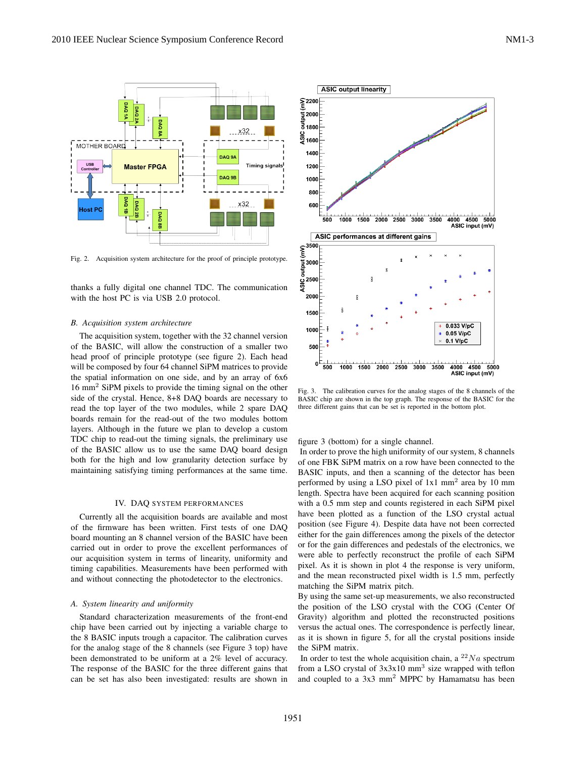

Fig. 2. Acquisition system architecture for the proof of principle prototype.

thanks a fully digital one channel TDC. The communication with the host PC is via USB 2.0 protocol.

#### *B. Acquisition system architecture*

The acquisition system, together with the 32 channel version of the BASIC, will allow the construction of a smaller two head proof of principle prototype (see figure 2). Each head will be composed by four 64 channel SiPM matrices to provide the spatial information on one side, and by an array of 6x6 16 mm<sup>2</sup> SiPM pixels to provide the timing signal on the other side of the crystal. Hence, 8+8 DAQ boards are necessary to read the top layer of the two modules, while 2 spare DAQ boards remain for the read-out of the two modules bottom layers. Although in the future we plan to develop a custom TDC chip to read-out the timing signals, the preliminary use of the BASIC allow us to use the same DAQ board design both for the high and low granularity detection surface by maintaining satisfying timing performances at the same time.

#### IV. DAQ SYSTEM PERFORMANCES

Currently all the acquisition boards are available and most of the firmware has been written. First tests of one DAQ board mounting an 8 channel version of the BASIC have been carried out in order to prove the excellent performances of our acquisition system in terms of linearity, uniformity and timing capabilities. Measurements have been performed with and without connecting the photodetector to the electronics.

### *A. System linearity and uniformity*

Standard characterization measurements of the front-end chip have been carried out by injecting a variable charge to the 8 BASIC inputs trough a capacitor. The calibration curves for the analog stage of the 8 channels (see Figure 3 top) have been demonstrated to be uniform at a 2% level of accuracy. The response of the BASIC for the three different gains that can be set has also been investigated: results are shown in



Fig. 3. The calibration curves for the analog stages of the 8 channels of the BASIC chip are shown in the top graph. The response of the BASIC for the three different gains that can be set is reported in the bottom plot.

figure 3 (bottom) for a single channel.

In order to prove the high uniformity of our system, 8 channels of one FBK SiPM matrix on a row have been connected to the BASIC inputs, and then a scanning of the detector has been performed by using a LSO pixel of  $1x1$  mm<sup>2</sup> area by 10 mm length. Spectra have been acquired for each scanning position with a 0.5 mm step and counts registered in each SiPM pixel have been plotted as a function of the LSO crystal actual position (see Figure 4). Despite data have not been corrected either for the gain differences among the pixels of the detector or for the gain differences and pedestals of the electronics, we were able to perfectly reconstruct the profile of each SiPM pixel. As it is shown in plot 4 the response is very uniform, and the mean reconstructed pixel width is 1.5 mm, perfectly matching the SiPM matrix pitch.

By using the same set-up measurements, we also reconstructed the position of the LSO crystal with the COG (Center Of Gravity) algorithm and plotted the reconstructed positions versus the actual ones. The correspondence is perfectly linear, as it is shown in figure 5, for all the crystal positions inside the SiPM matrix.

In order to test the whole acquisition chain, a  $^{22}Na$  spectrum from a LSO crystal of  $3x3x10$  mm<sup>3</sup> size wrapped with teflon and coupled to a 3x3 mm<sup>2</sup> MPPC by Hamamatsu has been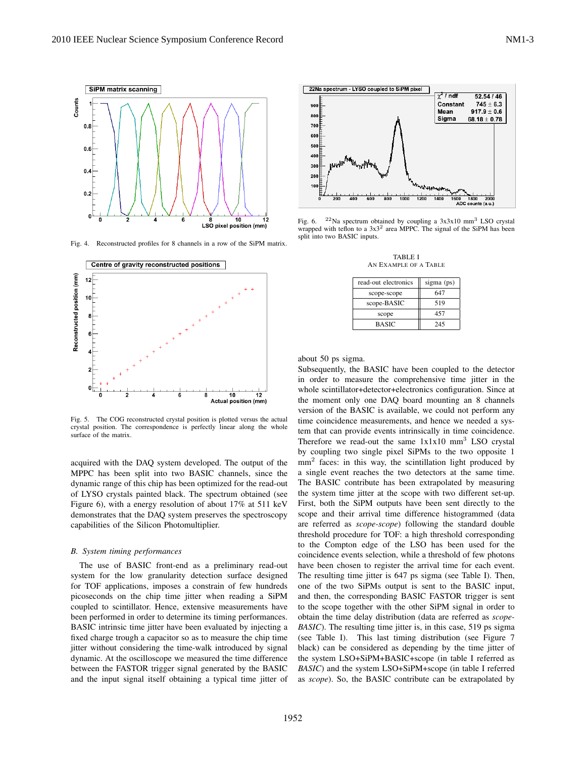

Fig. 4. Reconstructed profiles for 8 channels in a row of the SiPM matrix.



Fig. 5. The COG reconstructed crystal position is plotted versus the actual crystal position. The correspondence is perfectly linear along the whole surface of the matrix.

acquired with the DAQ system developed. The output of the MPPC has been split into two BASIC channels, since the dynamic range of this chip has been optimized for the read-out of LYSO crystals painted black. The spectrum obtained (see Figure 6), with a energy resolution of about 17% at 511 keV demonstrates that the DAQ system preserves the spectroscopy capabilities of the Silicon Photomultiplier.

# *B. System timing performances*

The use of BASIC front-end as a preliminary read-out system for the low granularity detection surface designed for TOF applications, imposes a constrain of few hundreds picoseconds on the chip time jitter when reading a SiPM coupled to scintillator. Hence, extensive measurements have been performed in order to determine its timing performances. BASIC intrinsic time jitter have been evaluated by injecting a fixed charge trough a capacitor so as to measure the chip time jitter without considering the time-walk introduced by signal dynamic. At the oscilloscope we measured the time difference between the FASTOR trigger signal generated by the BASIC and the input signal itself obtaining a typical time jitter of



Fig. 6. <sup>22</sup>Na spectrum obtained by coupling a 3x3x10 mm<sup>3</sup> LSO crystal wrapped with teflon to a  $3x3<sup>2</sup>$  area MPPC. The signal of the SiPM has been split into two BASIC inputs.

TABLE I AN EXAMPLE OF A TABLE

| read-out electronics | sigma (ps) |
|----------------------|------------|
| scope-scope          | 647        |
| scope-BASIC          | 519        |
| scope                | 457        |
| <b>BASIC</b>         | 245        |

about 50 ps sigma.

Subsequently, the BASIC have been coupled to the detector in order to measure the comprehensive time jitter in the whole scintillator+detector+electronics configuration. Since at the moment only one DAQ board mounting an 8 channels version of the BASIC is available, we could not perform any time coincidence measurements, and hence we needed a system that can provide events intrinsically in time coincidence. Therefore we read-out the same  $1x1x10$  mm<sup>3</sup> LSO crystal by coupling two single pixel SiPMs to the two opposite 1 mm<sup>2</sup> faces: in this way, the scintillation light produced by a single event reaches the two detectors at the same time. The BASIC contribute has been extrapolated by measuring the system time jitter at the scope with two different set-up. First, both the SiPM outputs have been sent directly to the scope and their arrival time difference histogrammed (data are referred as *scope-scope*) following the standard double threshold procedure for TOF: a high threshold corresponding to the Compton edge of the LSO has been used for the coincidence events selection, while a threshold of few photons have been chosen to register the arrival time for each event. The resulting time jitter is 647 ps sigma (see Table I). Then, one of the two SiPMs output is sent to the BASIC input, and then, the corresponding BASIC FASTOR trigger is sent to the scope together with the other SiPM signal in order to obtain the time delay distribution (data are referred as *scope-BASIC*). The resulting time jitter is, in this case, 519 ps sigma (see Table I). This last timing distribution (see Figure 7 black) can be considered as depending by the time jitter of the system LSO+SiPM+BASIC+scope (in table I referred as *BASIC*) and the system LSO+SiPM+scope (in table I referred as *scope*). So, the BASIC contribute can be extrapolated by